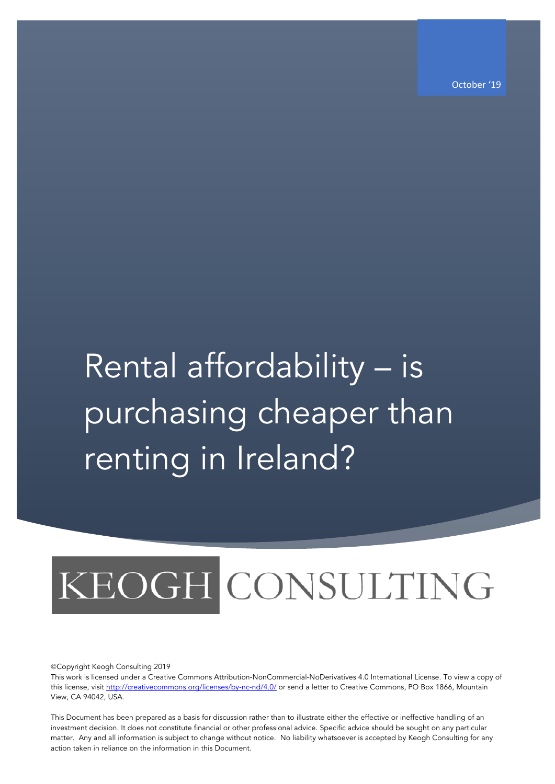october '19<br>October '19 - John Stein, Schweizer in der Stein (19 - October '19 - October '19

## Rental affordability - is purchasing cheaper than renting in Ireland?

# KEOGH CONSULTING

ãCopyright Keogh Consulting 2019

This work is licensed under a Creative Commons Attribution-NonCommercial-NoDerivatives 4.0 International License. To view a copy of this license, visit http://creativecommons.org/licenses/by-nc-nd/4.0/ or send a letter to Creative Commons, PO Box 1866, Mountain View, CA 94042, USA.

This Document has been prepared as a basis for discussion rather than to illustrate either the effective or ineffective handling of an investment decision. It does not constitute financial or other professional advice. Specific advice should be sought on any particular matter. Any and all information is subject to change without notice. No liability whatsoever is accepted by Keogh Consulting for any action taken in reliance on the information in this Document.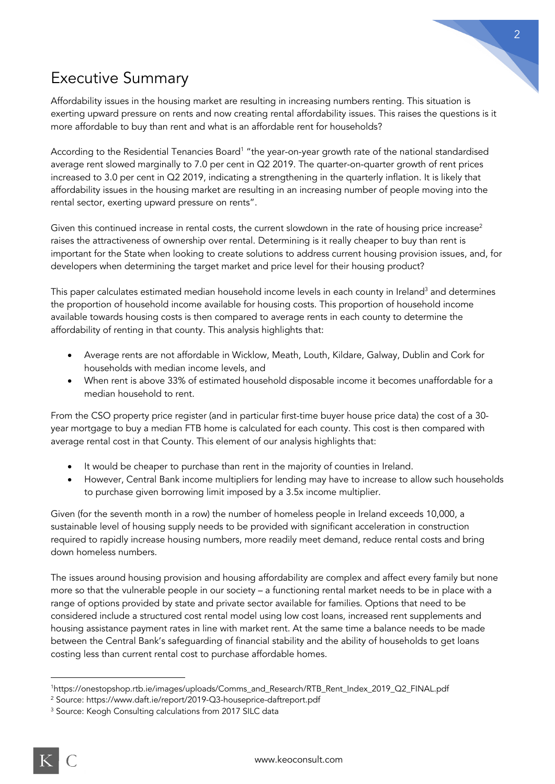

## Executive Summary

Affordability issues in the housing market are resulting in increasing numbers renting. This situation is exerting upward pressure on rents and now creating rental affordability issues. This raises the questions is it more affordable to buy than rent and what is an affordable rent for households?

According to the Residential Tenancies Board<sup>1</sup> "the year-on-year growth rate of the national standardised average rent slowed marginally to 7.0 per cent in Q2 2019. The quarter-on-quarter growth of rent prices increased to 3.0 per cent in Q2 2019, indicating a strengthening in the quarterly inflation. It is likely that affordability issues in the housing market are resulting in an increasing number of people moving into the rental sector, exerting upward pressure on rents".

Given this continued increase in rental costs, the current slowdown in the rate of housing price increase<sup>2</sup> raises the attractiveness of ownership over rental. Determining is it really cheaper to buy than rent is important for the State when looking to create solutions to address current housing provision issues, and, for developers when determining the target market and price level for their housing product?

This paper calculates estimated median household income levels in each county in Ireland<sup>3</sup> and determines the proportion of household income available for housing costs. This proportion of household income available towards housing costs is then compared to average rents in each county to determine the affordability of renting in that county. This analysis highlights that:

- Average rents are not affordable in Wicklow, Meath, Louth, Kildare, Galway, Dublin and Cork for households with median income levels, and
- When rent is above 33% of estimated household disposable income it becomes unaffordable for a median household to rent.

From the CSO property price register (and in particular first-time buyer house price data) the cost of a 30 year mortgage to buy a median FTB home is calculated for each county. This cost is then compared with average rental cost in that County. This element of our analysis highlights that:

- It would be cheaper to purchase than rent in the majority of counties in Ireland.
- However, Central Bank income multipliers for lending may have to increase to allow such households to purchase given borrowing limit imposed by a 3.5x income multiplier.

Given (for the seventh month in a row) the number of homeless people in Ireland exceeds 10,000, a sustainable level of housing supply needs to be provided with significant acceleration in construction required to rapidly increase housing numbers, more readily meet demand, reduce rental costs and bring down homeless numbers.

The issues around housing provision and housing affordability are complex and affect every family but none more so that the vulnerable people in our society – a functioning rental market needs to be in place with a range of options provided by state and private sector available for families. Options that need to be considered include a structured cost rental model using low cost loans, increased rent supplements and housing assistance payment rates in line with market rent. At the same time a balance needs to be made between the Central Bank's safeguarding of financial stability and the ability of households to get loans costing less than current rental cost to purchase affordable homes.

<sup>1</sup>https://onestopshop.rtb.ie/images/uploads/Comms\_and\_Research/RTB\_Rent\_Index\_2019\_Q2\_FINAL.pdf

<sup>2</sup> Source: https://www.daft.ie/report/2019-Q3-houseprice-daftreport.pdf

<sup>&</sup>lt;sup>3</sup> Source: Keogh Consulting calculations from 2017 SILC data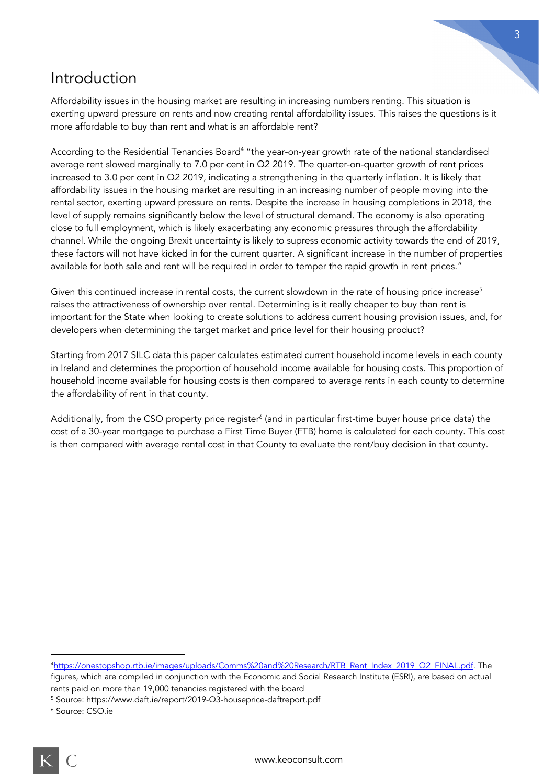#### Introduction

Affordability issues in the housing market are resulting in increasing numbers renting. This situation is exerting upward pressure on rents and now creating rental affordability issues. This raises the questions is it more affordable to buy than rent and what is an affordable rent?

According to the Residential Tenancies Board<sup>4</sup> "the year-on-year growth rate of the national standardised average rent slowed marginally to 7.0 per cent in Q2 2019. The quarter-on-quarter growth of rent prices increased to 3.0 per cent in Q2 2019, indicating a strengthening in the quarterly inflation. It is likely that affordability issues in the housing market are resulting in an increasing number of people moving into the rental sector, exerting upward pressure on rents. Despite the increase in housing completions in 2018, the level of supply remains significantly below the level of structural demand. The economy is also operating close to full employment, which is likely exacerbating any economic pressures through the affordability channel. While the ongoing Brexit uncertainty is likely to supress economic activity towards the end of 2019, these factors will not have kicked in for the current quarter. A significant increase in the number of properties available for both sale and rent will be required in order to temper the rapid growth in rent prices."

Given this continued increase in rental costs, the current slowdown in the rate of housing price increase<sup>5</sup> raises the attractiveness of ownership over rental. Determining is it really cheaper to buy than rent is important for the State when looking to create solutions to address current housing provision issues, and, for developers when determining the target market and price level for their housing product?

Starting from 2017 SILC data this paper calculates estimated current household income levels in each county in Ireland and determines the proportion of household income available for housing costs. This proportion of household income available for housing costs is then compared to average rents in each county to determine the affordability of rent in that county.

Additionally, from the CSO property price register<sup>6</sup> (and in particular first-time buyer house price data) the cost of a 30-year mortgage to purchase a First Time Buyer (FTB) home is calculated for each county. This cost is then compared with average rental cost in that County to evaluate the rent/buy decision in that county.

4https://onestopshop.rtb.ie/images/uploads/Comms%20and%20Research/RTB\_Rent\_Index\_2019\_Q2\_FINAL.pdf. The figures, which are compiled in conjunction with the Economic and Social Research Institute (ESRI), are based on actual rents paid on more than 19,000 tenancies registered with the board

<sup>5</sup> Source: https://www.daft.ie/report/2019-Q3-houseprice-daftreport.pdf

<sup>6</sup> Source: CSO.ie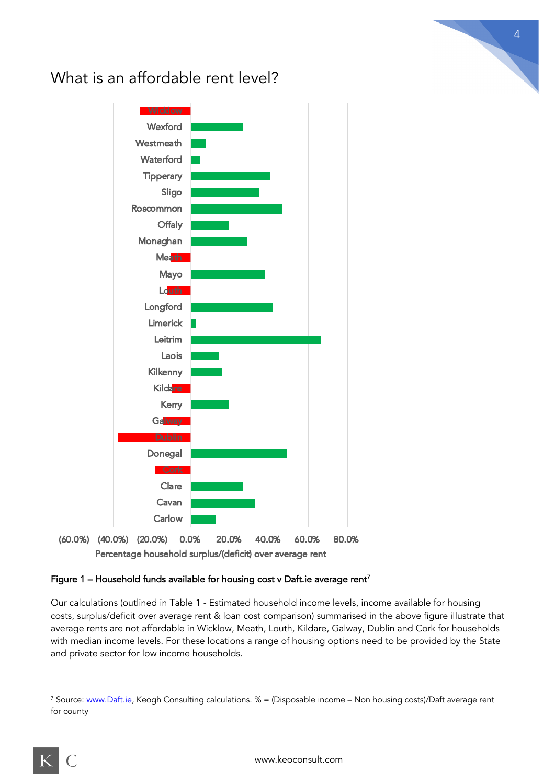

### What is an affordable rent level?

#### Figure 1 – Household funds available for housing cost v Daft.ie average rent<sup>7</sup>

Our calculations (outlined in Table 1 - Estimated household income levels, income available for housing costs, surplus/deficit over average rent & loan cost comparison) summarised in the above figure illustrate that average rents are not affordable in Wicklow, Meath, Louth, Kildare, Galway, Dublin and Cork for households with median income levels. For these locations a range of housing options need to be provided by the State and private sector for low income households.

4

$$
\overline{\mathrm{K}}\mid \mathrm{C}
$$

<sup>&</sup>lt;sup>7</sup> Source: www.Daft.ie, Keogh Consulting calculations.  $% =$  (Disposable income – Non housing costs)/Daft average rent for county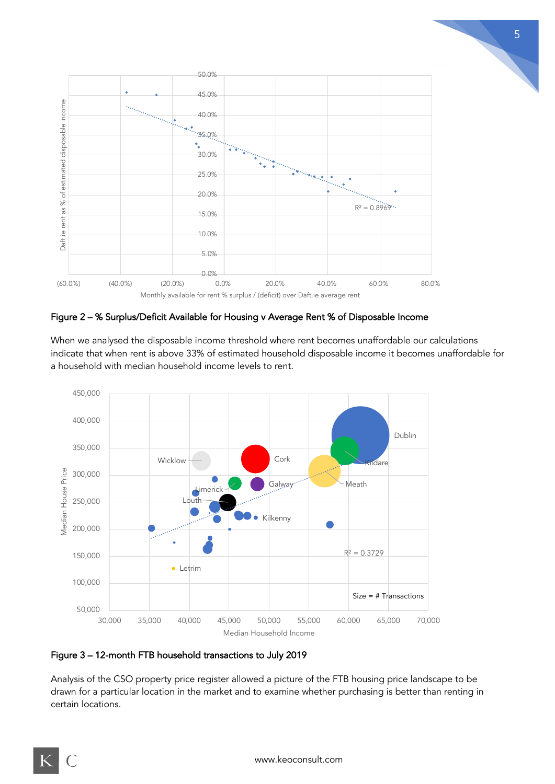

5

Figure 2 – % Surplus/Deficit Available for Housing v Average Rent % of Disposable Income

When we analysed the disposable income threshold where rent becomes unaffordable our calculations indicate that when rent is above 33% of estimated household disposable income it becomes unaffordable for a household with median household income levels to rent.



Figure 3 – 12-month FTB household transactions to July 2019

Analysis of the CSO property price register allowed a picture of the FTB housing price landscape to be drawn for a particular location in the market and to examine whether purchasing is better than renting in certain locations.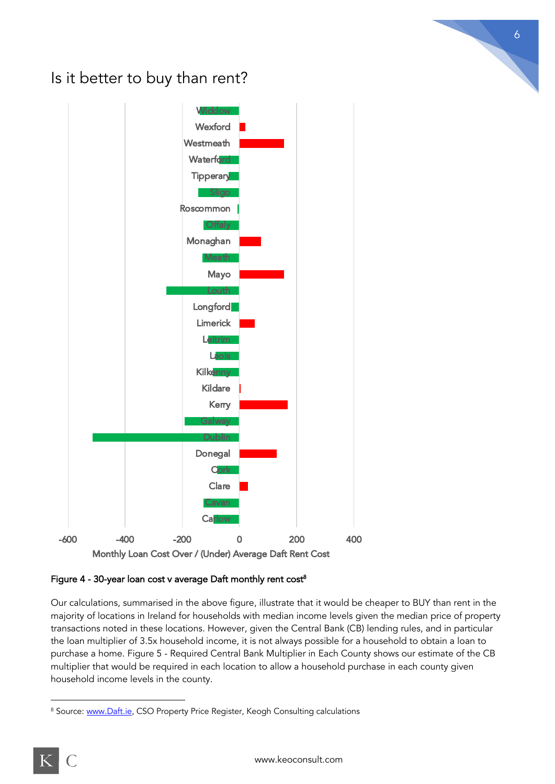## Is it better to buy than rent?



Figure 4 - 30-year loan cost v average Daft monthly rent  $cost<sup>8</sup>$ 

Our calculations, summarised in the above figure, illustrate that it would be cheaper to BUY than rent in the majority of locations in Ireland for households with median income levels given the median price of property transactions noted in these locations. However, given the Central Bank (CB) lending rules, and in particular the loan multiplier of 3.5x household income, it is not always possible for a household to obtain a loan to purchase a home. Figure 5 - Required Central Bank Multiplier in Each County shows our estimate of the CB multiplier that would be required in each location to allow a household purchase in each county given household income levels in the county.

$$
K\,|\,\ell
$$

<sup>&</sup>lt;sup>8</sup> Source: www.Daft.ie, CSO Property Price Register, Keogh Consulting calculations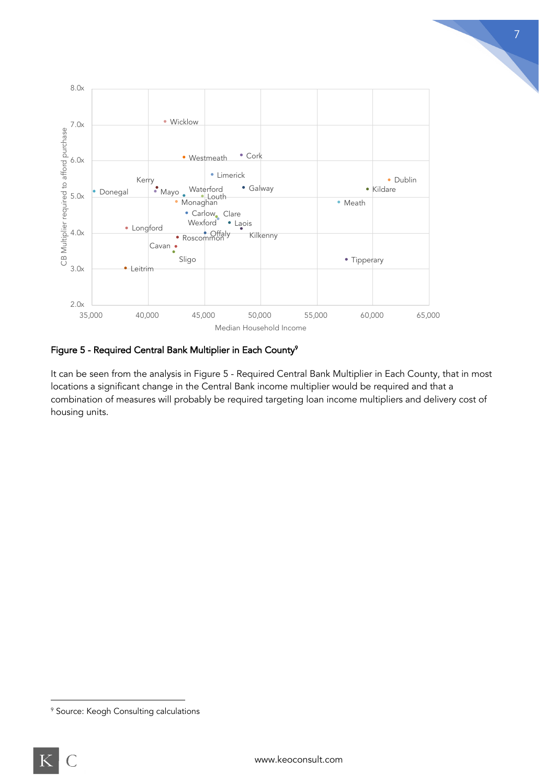

7

#### Figure 5 - Required Central Bank Multiplier in Each County<sup>9</sup>

It can be seen from the analysis in Figure 5 - Required Central Bank Multiplier in Each County, that in most locations a significant change in the Central Bank income multiplier would be required and that a combination of measures will probably be required targeting loan income multipliers and delivery cost of housing units.

<sup>&</sup>lt;sup>9</sup> Source: Keogh Consulting calculations